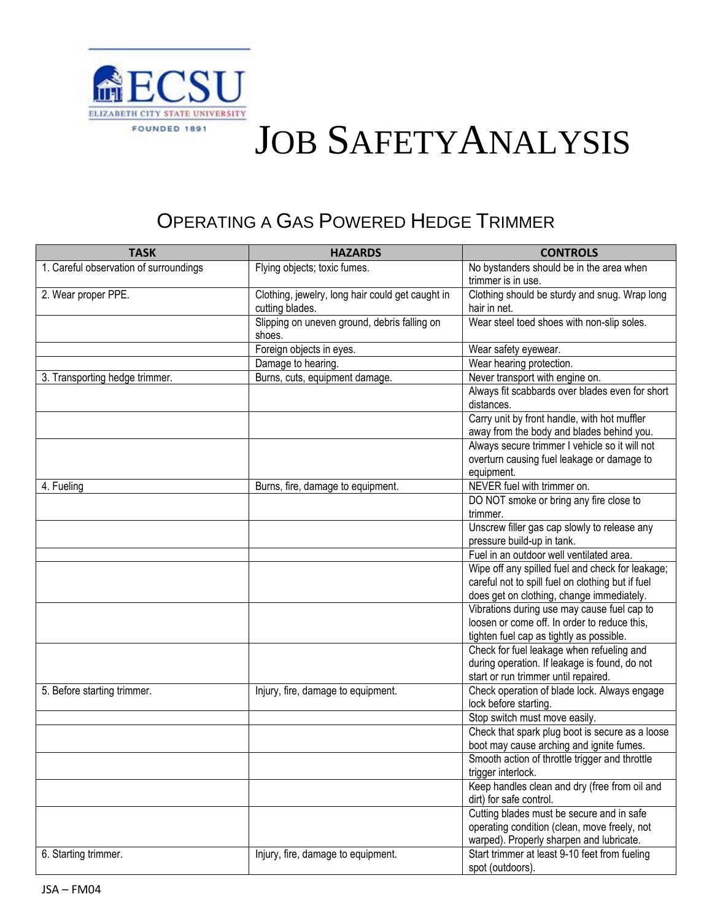

## JOB SAFETYANALYSIS

## OPERATING A GAS POWERED HEDGE TRIMMER

| <b>TASK</b>                            | <b>HAZARDS</b>                                   | <b>CONTROLS</b>                                                       |
|----------------------------------------|--------------------------------------------------|-----------------------------------------------------------------------|
| 1. Careful observation of surroundings | Flying objects; toxic fumes.                     | No bystanders should be in the area when                              |
|                                        |                                                  | trimmer is in use.                                                    |
| 2. Wear proper PPE.                    | Clothing, jewelry, long hair could get caught in | Clothing should be sturdy and snug. Wrap long                         |
|                                        | cutting blades.                                  | hair in net.                                                          |
|                                        | Slipping on uneven ground, debris falling on     | Wear steel toed shoes with non-slip soles.                            |
|                                        | shoes.                                           |                                                                       |
|                                        | Foreign objects in eyes.                         | Wear safety eyewear.                                                  |
|                                        | Damage to hearing.                               | Wear hearing protection.                                              |
| 3. Transporting hedge trimmer.         | Burns, cuts, equipment damage.                   | Never transport with engine on.                                       |
|                                        |                                                  | Always fit scabbards over blades even for short                       |
|                                        |                                                  | distances.                                                            |
|                                        |                                                  | Carry unit by front handle, with hot muffler                          |
|                                        |                                                  | away from the body and blades behind you.                             |
|                                        |                                                  | Always secure trimmer I vehicle so it will not                        |
|                                        |                                                  | overturn causing fuel leakage or damage to                            |
|                                        |                                                  | equipment.                                                            |
| 4. Fueling                             | Burns, fire, damage to equipment.                | NEVER fuel with trimmer on.                                           |
|                                        |                                                  | DO NOT smoke or bring any fire close to                               |
|                                        |                                                  | trimmer.                                                              |
|                                        |                                                  | Unscrew filler gas cap slowly to release any                          |
|                                        |                                                  | pressure build-up in tank.                                            |
|                                        |                                                  | Fuel in an outdoor well ventilated area.                              |
|                                        |                                                  | Wipe off any spilled fuel and check for leakage;                      |
|                                        |                                                  | careful not to spill fuel on clothing but if fuel                     |
|                                        |                                                  | does get on clothing, change immediately.                             |
|                                        |                                                  | Vibrations during use may cause fuel cap to                           |
|                                        |                                                  | loosen or come off. In order to reduce this,                          |
|                                        |                                                  | tighten fuel cap as tightly as possible.                              |
|                                        |                                                  | Check for fuel leakage when refueling and                             |
|                                        |                                                  | during operation. If leakage is found, do not                         |
|                                        |                                                  | start or run trimmer until repaired.                                  |
| 5. Before starting trimmer.            | Injury, fire, damage to equipment.               | Check operation of blade lock. Always engage<br>lock before starting. |
|                                        |                                                  | Stop switch must move easily.                                         |
|                                        |                                                  | Check that spark plug boot is secure as a loose                       |
|                                        |                                                  | boot may cause arching and ignite fumes.                              |
|                                        |                                                  | Smooth action of throttle trigger and throttle                        |
|                                        |                                                  | trigger interlock.                                                    |
|                                        |                                                  | Keep handles clean and dry (free from oil and                         |
|                                        |                                                  | dirt) for safe control.                                               |
|                                        |                                                  | Cutting blades must be secure and in safe                             |
|                                        |                                                  | operating condition (clean, move freely, not                          |
|                                        |                                                  | warped). Properly sharpen and lubricate.                              |
| 6. Starting trimmer.                   | Injury, fire, damage to equipment.               | Start trimmer at least 9-10 feet from fueling                         |
|                                        |                                                  | spot (outdoors).                                                      |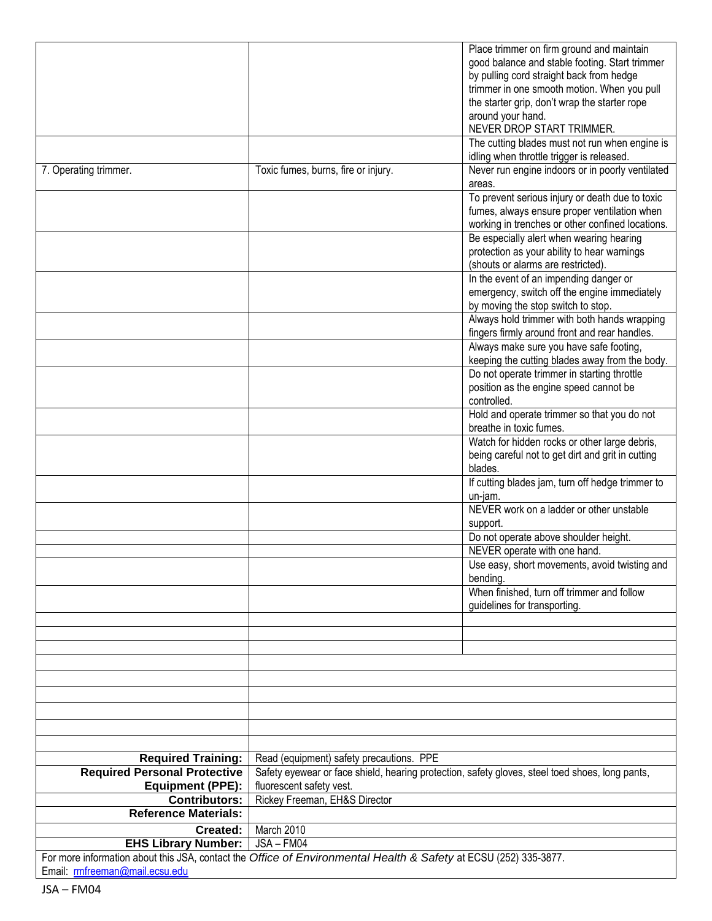|                                                                                                                                                    |                                                                                                 | Place trimmer on firm ground and maintain         |
|----------------------------------------------------------------------------------------------------------------------------------------------------|-------------------------------------------------------------------------------------------------|---------------------------------------------------|
|                                                                                                                                                    |                                                                                                 | good balance and stable footing. Start trimmer    |
|                                                                                                                                                    |                                                                                                 | by pulling cord straight back from hedge          |
|                                                                                                                                                    |                                                                                                 | trimmer in one smooth motion. When you pull       |
|                                                                                                                                                    |                                                                                                 | the starter grip, don't wrap the starter rope     |
|                                                                                                                                                    |                                                                                                 | around your hand.                                 |
|                                                                                                                                                    |                                                                                                 | NEVER DROP START TRIMMER.                         |
|                                                                                                                                                    |                                                                                                 | The cutting blades must not run when engine is    |
|                                                                                                                                                    |                                                                                                 | idling when throttle trigger is released.         |
| 7. Operating trimmer.                                                                                                                              | Toxic fumes, burns, fire or injury.                                                             | Never run engine indoors or in poorly ventilated  |
|                                                                                                                                                    |                                                                                                 | areas.                                            |
|                                                                                                                                                    |                                                                                                 | To prevent serious injury or death due to toxic   |
|                                                                                                                                                    |                                                                                                 | fumes, always ensure proper ventilation when      |
|                                                                                                                                                    |                                                                                                 | working in trenches or other confined locations.  |
|                                                                                                                                                    |                                                                                                 | Be especially alert when wearing hearing          |
|                                                                                                                                                    |                                                                                                 | protection as your ability to hear warnings       |
|                                                                                                                                                    |                                                                                                 | (shouts or alarms are restricted).                |
|                                                                                                                                                    |                                                                                                 | In the event of an impending danger or            |
|                                                                                                                                                    |                                                                                                 | emergency, switch off the engine immediately      |
|                                                                                                                                                    |                                                                                                 | by moving the stop switch to stop.                |
|                                                                                                                                                    |                                                                                                 | Always hold trimmer with both hands wrapping      |
|                                                                                                                                                    |                                                                                                 | fingers firmly around front and rear handles.     |
|                                                                                                                                                    |                                                                                                 | Always make sure you have safe footing,           |
|                                                                                                                                                    |                                                                                                 | keeping the cutting blades away from the body.    |
|                                                                                                                                                    |                                                                                                 | Do not operate trimmer in starting throttle       |
|                                                                                                                                                    |                                                                                                 | position as the engine speed cannot be            |
|                                                                                                                                                    |                                                                                                 | controlled.                                       |
|                                                                                                                                                    |                                                                                                 | Hold and operate trimmer so that you do not       |
|                                                                                                                                                    |                                                                                                 | breathe in toxic fumes.                           |
|                                                                                                                                                    |                                                                                                 | Watch for hidden rocks or other large debris,     |
|                                                                                                                                                    |                                                                                                 | being careful not to get dirt and grit in cutting |
|                                                                                                                                                    |                                                                                                 | blades.                                           |
|                                                                                                                                                    |                                                                                                 | If cutting blades jam, turn off hedge trimmer to  |
|                                                                                                                                                    |                                                                                                 | un-jam.                                           |
|                                                                                                                                                    |                                                                                                 | NEVER work on a ladder or other unstable          |
|                                                                                                                                                    |                                                                                                 | support.                                          |
|                                                                                                                                                    |                                                                                                 | Do not operate above shoulder height.             |
|                                                                                                                                                    |                                                                                                 | NEVER operate with one hand.                      |
|                                                                                                                                                    |                                                                                                 | Use easy, short movements, avoid twisting and     |
|                                                                                                                                                    |                                                                                                 | bending.                                          |
|                                                                                                                                                    |                                                                                                 | When finished, turn off trimmer and follow        |
|                                                                                                                                                    |                                                                                                 | guidelines for transporting.                      |
|                                                                                                                                                    |                                                                                                 |                                                   |
|                                                                                                                                                    |                                                                                                 |                                                   |
|                                                                                                                                                    |                                                                                                 |                                                   |
|                                                                                                                                                    |                                                                                                 |                                                   |
|                                                                                                                                                    |                                                                                                 |                                                   |
|                                                                                                                                                    |                                                                                                 |                                                   |
|                                                                                                                                                    |                                                                                                 |                                                   |
|                                                                                                                                                    |                                                                                                 |                                                   |
|                                                                                                                                                    |                                                                                                 |                                                   |
|                                                                                                                                                    |                                                                                                 |                                                   |
| <b>Required Training:</b>                                                                                                                          | Read (equipment) safety precautions. PPE                                                        |                                                   |
| <b>Required Personal Protective</b>                                                                                                                | Safety eyewear or face shield, hearing protection, safety gloves, steel toed shoes, long pants, |                                                   |
| <b>Equipment (PPE):</b>                                                                                                                            | fluorescent safety vest.                                                                        |                                                   |
| <b>Contributors:</b>                                                                                                                               | Rickey Freeman, EH&S Director                                                                   |                                                   |
| <b>Reference Materials:</b>                                                                                                                        |                                                                                                 |                                                   |
| Created:                                                                                                                                           | March 2010                                                                                      |                                                   |
| <b>EHS Library Number:</b>                                                                                                                         | JSA - FM04                                                                                      |                                                   |
| For more information about this JSA, contact the Office of Environmental Health & Safety at ECSU (252) 335-3877.<br>Email: rmfreeman@mail.ecsu.edu |                                                                                                 |                                                   |

JSA – FM04